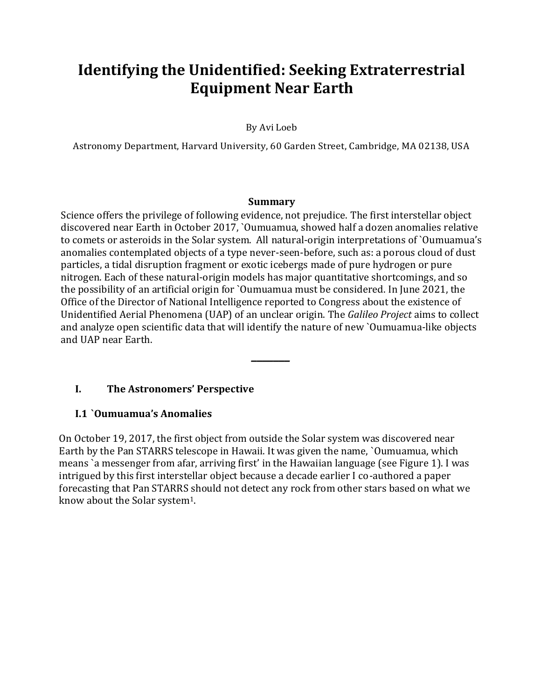# **Identifying the Unidentified: Seeking Extraterrestrial Equipment Near Earth**

By Avi Loeb

Astronomy Department, Harvard University, 60 Garden Street, Cambridge, MA 02138, USA

#### **Summary**

Science offers the privilege of following evidence, not prejudice. The first interstellar object discovered near Earth in October 2017, `Oumuamua, showed half a dozen anomalies relative to comets or asteroids in the Solar system. All natural-origin interpretations of `Oumuamua's anomalies contemplated objects of a type never-seen-before, such as: a porous cloud of dust particles, a tidal disruption fragment or exotic icebergs made of pure hydrogen or pure nitrogen. Each of these natural-origin models has major quantitative shortcomings, and so the possibility of an artificial origin for `Oumuamua must be considered. In June 2021, the Office of the Director of National Intelligence reported to Congress about the existence of Unidentified Aerial Phenomena (UAP) of an unclear origin. The *Galileo Project* aims to collect and analyze open scientific data that will identify the nature of new `Oumuamua-like objects and UAP near Earth.

*\_\_\_\_\_\_\_*

## **I. The Astronomers' Perspective**

#### **I.1 `Oumuamua's Anomalies**

On October 19, 2017, the first object from outside the Solar system was discovered near Earth by the Pan STARRS telescope in Hawaii. It was given the name, `Oumuamua, which means `a messenger from afar, arriving first' in the Hawaiian language (see Figure 1). I was intrigued by this first interstellar object because a decade earlier I co-authored a paper forecasting that Pan STARRS should not detect any rock from other stars based on what we know about the Solar system<sup>1</sup>.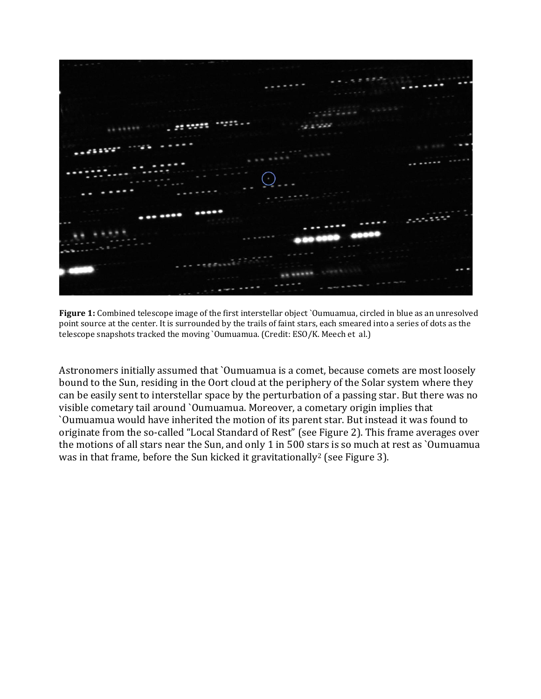

**Figure 1:** Combined telescope image of the first interstellar object `Oumuamua, circled in blue as an unresolved point source at the center. It is surrounded by the trails of faint stars, each smeared into a series of dots as the telescope snapshots tracked the moving `Oumuamua. (Credit: ESO/K. Meech et al.)

Astronomers initially assumed that `Oumuamua is a comet, because comets are most loosely bound to the Sun, residing in the Oort cloud at the periphery of the Solar system where they can be easily sent to interstellar space by the perturbation of a passing star. But there was no visible cometary tail around `Oumuamua. Moreover, a cometary origin implies that `Oumuamua would have inherited the motion of its parent star. But instead it was found to originate from the so-called "Local Standard of Rest" (see Figure 2). This frame averages over the motions of all stars near the Sun, and only 1 in 500 stars is so much at rest as `Oumuamua was in that frame, before the Sun kicked it gravitationally<sup>2</sup> (see Figure 3).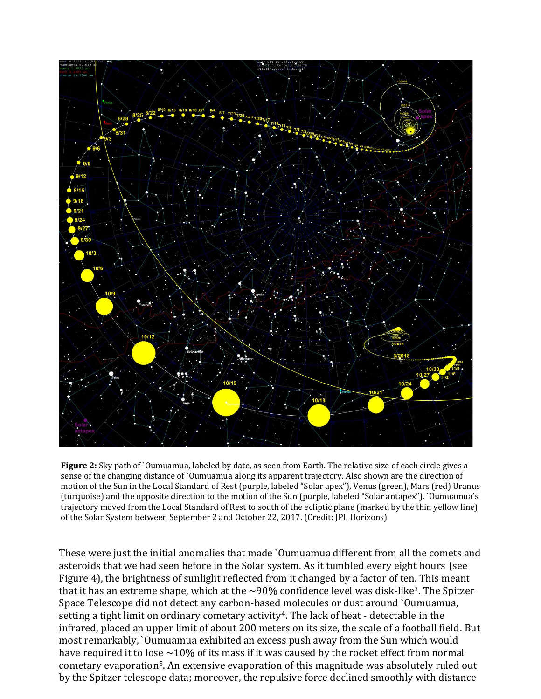

**Figure 2:** Sky path of `Oumuamua, labeled by date, as seen from Earth. The relative size of each circle gives a sense of the changing distance of `Oumuamua along its apparent trajectory. Also shown are the direction of motion of the Sun in the Local Standard of Rest (purple, labeled "Solar apex"), Venus (green), Mars (red) Uranus (turquoise) and the opposite direction to the motion of the Sun (purple, labeled "Solar antapex"). `Oumuamua's trajectory moved from the Local Standard of Rest to south of the ecliptic plane (marked by the thin yellow line) of the Solar System between September 2 and October 22, 2017. (Credit: JPL Horizons)

These were just the initial anomalies that made `Oumuamua different from all the comets and asteroids that we had seen before in the Solar system. As it tumbled every eight hours (see Figure 4), the brightness of sunlight reflected from it changed by a factor of ten. This meant that it has an extreme shape, which at the  $\sim$ 90% confidence level was disk-like<sup>3</sup>. The Spitzer Space Telescope did not detect any carbon-based molecules or dust around `Oumuamua, setting a tight limit on ordinary cometary activity<sup>4</sup>. The lack of heat - detectable in the infrared, placed an upper limit of about 200 meters on its size, the scale of a football field. But most remarkably, `Oumuamua exhibited an excess push away from the Sun which would have required it to lose  $\sim$ 10% of its mass if it was caused by the rocket effect from normal cometary evaporation5. An extensive evaporation of this magnitude was absolutely ruled out by the Spitzer telescope data; moreover, the repulsive force declined smoothly with distance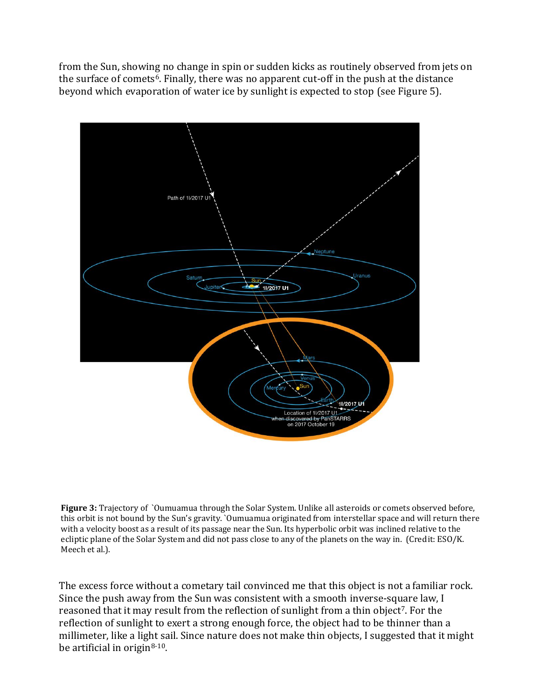from the Sun, showing no change in spin or sudden kicks as routinely observed from jets on the surface of comets<sup>6</sup>. Finally, there was no apparent cut-off in the push at the distance beyond which evaporation of water ice by sunlight is expected to stop (see Figure 5).



**Figure 3:** Trajectory of `Oumuamua through the Solar System. Unlike all asteroids or comets observed before, this orbit is not bound by the Sun's gravity. `Oumuamua originated from interstellar space and will return there with a velocity boost as a result of its passage near the Sun. Its hyperbolic orbit was inclined relative to the ecliptic plane of the Solar System and did not pass close to any of the planets on the way in. (Credit: ESO/K. Meech et al.).

The excess force without a cometary tail convinced me that this object is not a familiar rock. Since the push away from the Sun was consistent with a smooth inverse-square law, I reasoned that it may result from the reflection of sunlight from a thin object<sup>7</sup>. For the reflection of sunlight to exert a strong enough force, the object had to be thinner than a millimeter, like a light sail. Since nature does not make thin objects, I suggested that it might be artificial in origin $8-10$ .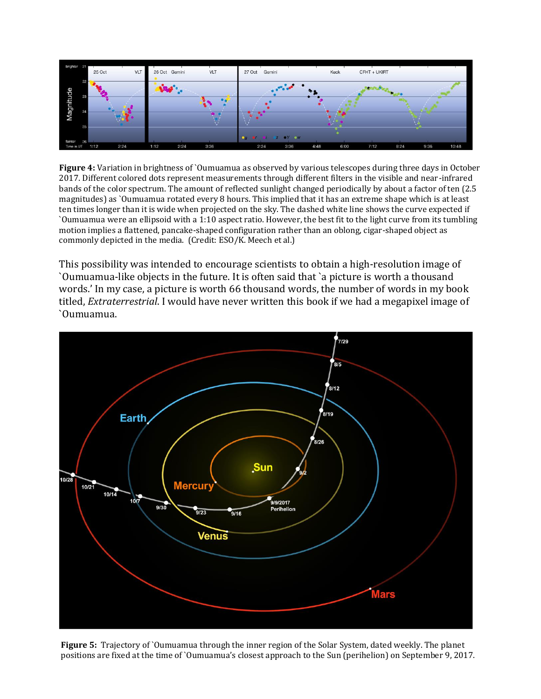

**Figure 4:** Variation in brightness of `Oumuamua as observed by various telescopes during three days in October 2017. Different colored dots represent measurements through different filters in the visible and near-infrared bands of the color spectrum. The amount of reflected sunlight changed periodically by about a factor of ten (2.5 magnitudes) as `Oumuamua rotated every 8 hours. This implied that it has an extreme shape which is at least ten times longer than it is wide when projected on the sky. The dashed white line shows the curve expected if `Oumuamua were an ellipsoid with a 1:10 aspect ratio. However, the best fit to the light curve from its tumbling motion implies a flattened, pancake-shaped configuration rather than an oblong, cigar-shaped object as commonly depicted in the media. (Credit: ESO/K. Meech et al.)

This possibility was intended to encourage scientists to obtain a high-resolution image of `Oumuamua-like objects in the future. It is often said that `a picture is worth a thousand words.' In my case, a picture is worth 66 thousand words, the number of words in my book titled, *Extraterrestrial*. I would have never written this book if we had a megapixel image of `Oumuamua.



**Figure 5:** Trajectory of `Oumuamua through the inner region of the Solar System, dated weekly. The planet positions are fixed at the time of `Oumuamua's closest approach to the Sun (perihelion) on September 9, 2017.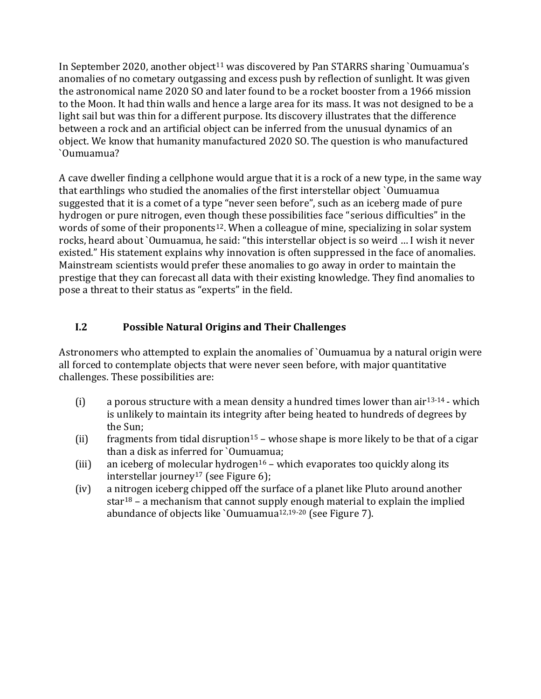In September 2020, another object<sup>11</sup> was discovered by Pan STARRS sharing `Oumuamua's anomalies of no cometary outgassing and excess push by reflection of sunlight. It was given the astronomical name 2020 SO and later found to be a rocket booster from a 1966 mission to the Moon. It had thin walls and hence a large area for its mass. It was not designed to be a light sail but was thin for a different purpose. Its discovery illustrates that the difference between a rock and an artificial object can be inferred from the unusual dynamics of an object. We know that humanity manufactured 2020 SO. The question is who manufactured `Oumuamua?

A cave dweller finding a cellphone would argue that it is a rock of a new type, in the same way that earthlings who studied the anomalies of the first interstellar object `Oumuamua suggested that it is a comet of a type "never seen before", such as an iceberg made of pure hydrogen or pure nitrogen, even though these possibilities face "serious difficulties" in the words of some of their proponents<sup>12</sup>. When a colleague of mine, specializing in solar system rocks, heard about `Oumuamua, he said: "this interstellar object is so weird … I wish it never existed." His statement explains why innovation is often suppressed in the face of anomalies. Mainstream scientists would prefer these anomalies to go away in order to maintain the prestige that they can forecast all data with their existing knowledge. They find anomalies to pose a threat to their status as "experts" in the field.

## **I.2 Possible Natural Origins and Their Challenges**

Astronomers who attempted to explain the anomalies of `Oumuamua by a natural origin were all forced to contemplate objects that were never seen before, with major quantitative challenges. These possibilities are:

- (i) a porous structure with a mean density a hundred times lower than air<sup>13-14</sup> which is unlikely to maintain its integrity after being heated to hundreds of degrees by the Sun;
- (ii) fragments from tidal disruption<sup>15</sup> whose shape is more likely to be that of a cigar than a disk as inferred for `Oumuamua;
- (iii) an iceberg of molecular hydrogen<sup>16</sup> which evaporates too quickly along its interstellar journey<sup>17</sup> (see Figure 6);
- (iv) a nitrogen iceberg chipped off the surface of a planet like Pluto around another star<sup>18</sup> – a mechanism that cannot supply enough material to explain the implied abundance of objects like `Oumuamua<sup>12,19-20</sup> (see Figure 7).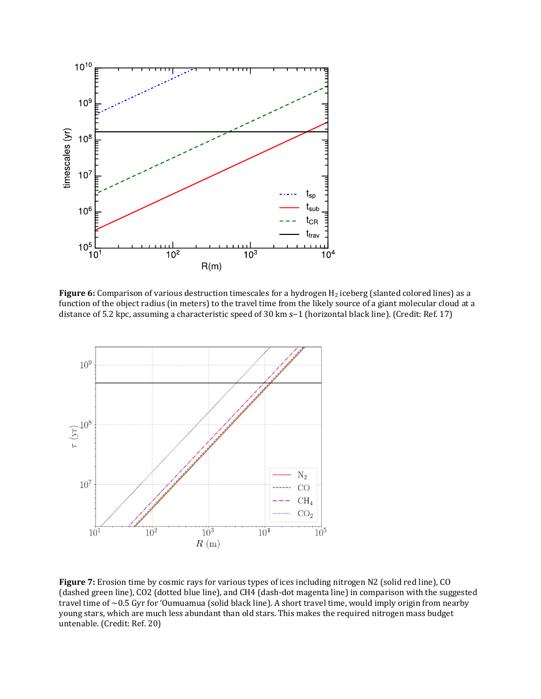

Figure 6: Comparison of various destruction timescales for a hydrogen H<sub>2</sub> iceberg (slanted colored lines) as a function of the object radius (in meters) to the travel time from the likely source of a giant molecular cloud at a distance of 5.2 kpc, assuming a characteristic speed of 30 km s−1 (horizontal black line). (Credit: Ref. 17)



**Figure 7:** Erosion time by cosmic rays for various types of ices including nitrogen N2 (solid red line), CO (dashed green line), CO2 (dotted blue line), and CH4 (dash-dot magenta line) in comparison with the suggested travel time of ~0.5 Gyr for 'Oumuamua (solid black line). A short travel time, would imply origin from nearby young stars, which are much less abundant than old stars. This makes the required nitrogen mass budget untenable. (Credit: Ref. 20)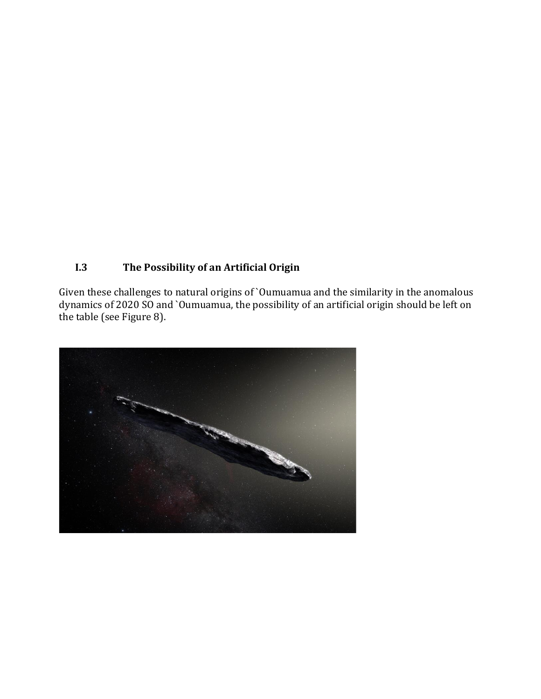# **I.3 The Possibility of an Artificial Origin**

Given these challenges to natural origins of `Oumuamua and the similarity in the anomalous dynamics of 2020 SO and `Oumuamua, the possibility of an artificial origin should be left on the table (see Figure 8).

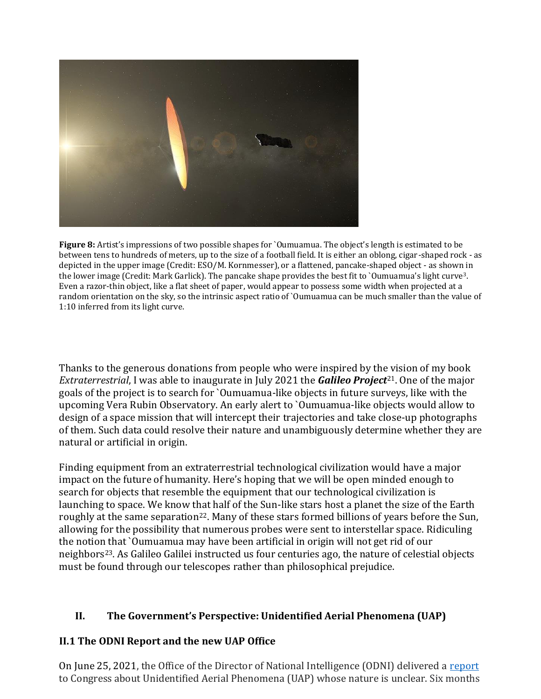

**Figure 8:** Artist's impressions of two possible shapes for `Oumuamua. The object's length is estimated to be between tens to hundreds of meters, up to the size of a football field. It is either an oblong, cigar-shaped rock - as depicted in the upper image (Credit: ESO/M. Kornmesser), or a flattened, pancake-shaped object - as shown in the lower image (Credit: Mark Garlick). The pancake shape provides the best fit to `Oumuamua's light curve3. Even a razor-thin object, like a flat sheet of paper, would appear to possess some width when projected at a random orientation on the sky, so the intrinsic aspect ratio of `Oumuamua can be much smaller than the value of 1:10 inferred from its light curve.

Thanks to the generous donations from people who were inspired by the vision of my book *Extraterrestrial*, I was able to inaugurate in July 2021 the *Galileo Project*21. One of the major goals of the project is to search for `Oumuamua-like objects in future surveys, like with the upcoming Vera Rubin Observatory. An early alert to `Oumuamua-like objects would allow to design of a space mission that will intercept their trajectories and take close-up photographs of them. Such data could resolve their nature and unambiguously determine whether they are natural or artificial in origin.

Finding equipment from an extraterrestrial technological civilization would have a major impact on the future of humanity. Here's hoping that we will be open minded enough to search for objects that resemble the equipment that our technological civilization is launching to space. We know that half of the Sun-like stars host a planet the size of the Earth roughly at the same separation<sup>22</sup>. Many of these stars formed billions of years before the Sun, allowing for the possibility that numerous probes were sent to interstellar space. Ridiculing the notion that `Oumuamua may have been artificial in origin will not get rid of our neighbors23. As Galileo Galilei instructed us four centuries ago, the nature of celestial objects must be found through our telescopes rather than philosophical prejudice.

## **II. The Government's Perspective: Unidentified Aerial Phenomena (UAP)**

## **II.1 The ODNI Report and the new UAP Office**

On June 25, 2021, the Office of the Director of National Intelligence (ODNI) delivered a [report](https://www.dni.gov/files/ODNI/documents/assessments/Prelimary-Assessment-UAP-20210625.pdf) to Congress about Unidentified Aerial Phenomena (UAP) whose nature is unclear. Six months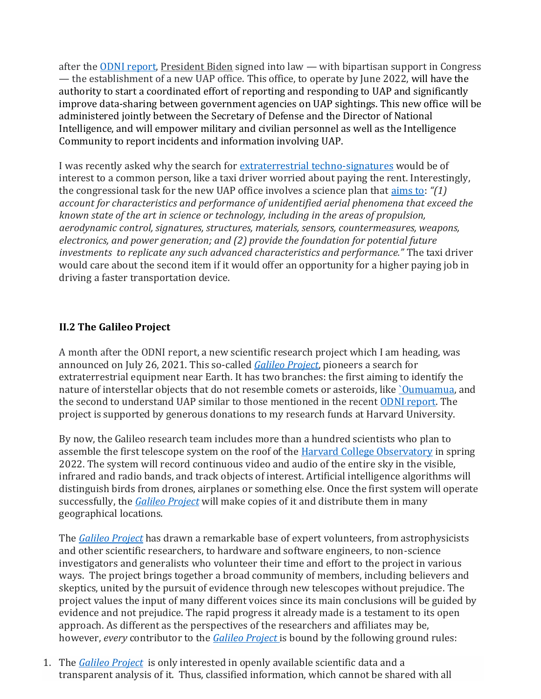after the [ODNI report,](https://www.dni.gov/files/ODNI/documents/assessments/Prelimary-Assessment-UAP-20210625.pdf) [President Biden](https://thehill.com/people/joe-biden) signed into law — with bipartisan support in Congress — the establishment of a new UAP office. This office, to operate by June 2022, will have the authority to start a coordinated effort of reporting and responding to UAP and significantly improve data-sharing between government agencies on UAP sightings. This new office will be administered jointly between the Secretary of Defense and the Director of National Intelligence, and will empower military and civilian personnel as well as the Intelligence Community to report incidents and information involving UAP.

I was recently asked why the search for [extraterrestrial techno-signatures](https://www.hup.harvard.edu/catalog.php?isbn=9780674987579) would be of interest to a common person, like a taxi driver worried about paying the rent. Interestingly, the congressional task for the new UAP office involves a science plan that [aims to:](https://lweb.cfa.harvard.edu/~loeb/NDAA22.pdf) *"(1) account for characteristics and performance of unidentified aerial phenomena that exceed the known state of the art in science or technology, including in the areas of propulsion, aerodynamic control, signatures, structures, materials, sensors, countermeasures, weapons, electronics, and power generation; and (2) provide the foundation for potential future investments to replicate any such advanced characteristics and performance."* The taxi driver would care about the second item if it would offer an opportunity for a higher paying job in driving a faster transportation device.

## **II.2 The Galileo Project**

A month after the ODNI report, a new scientific research project which I am heading, was announced on July 26, 2021. This so-called *[Galileo Project](https://projects.iq.harvard.edu/galileo)*, pioneers a search for extraterrestrial equipment near Earth. It has two branches: the first aiming to identify the nature of interstellar objects that do not resemble comets or asteroids, like *`Oumuamua*, and the second to understand UAP similar to those mentioned in the recent [ODNI report.](https://www.dni.gov/files/ODNI/documents/assessments/Prelimary-Assessment-UAP-20210625.pdf) The project is supported by generous donations to my research funds at Harvard University.

By now, the Galileo research team includes more than a hundred scientists who plan to assemble the first telescope system on the roof of the **Harvard College Observatory** in spring 2022. The system will record continuous video and audio of the entire sky in the visible, infrared and radio bands, and track objects of interest. Artificial intelligence algorithms will distinguish birds from drones, airplanes or something else. Once the first system will operate successfully, the *[Galileo Project](https://projects.iq.harvard.edu/galileo)* will make copies of it and distribute them in many geographical locations.

The *[Galileo Project](https://projects.iq.harvard.edu/galileo)* has drawn a remarkable base of expert volunteers, from astrophysicists and other scientific researchers, to hardware and software engineers, to non-science investigators and generalists who volunteer their time and effort to the project in various ways. The project brings together a broad community of members, including believers and skeptics, united by the pursuit of evidence through new telescopes without prejudice. The project values the input of many different voices since its main conclusions will be guided by evidence and not prejudice. The rapid progress it already made is a testament to its open approach. As different as the perspectives of the researchers and affiliates may be, however, *every* contributor to the *[Galileo Project](https://projects.iq.harvard.edu/galileo)* is bound by the following ground rules:

1. The *[Galileo Project](https://projects.iq.harvard.edu/galileo)* is only interested in openly available scientific data and a transparent analysis of it. Thus, classified information, which cannot be shared with all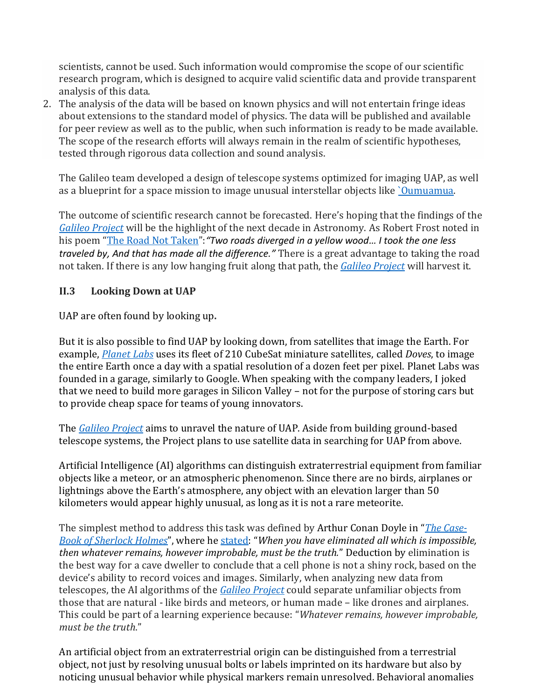scientists, cannot be used. Such information would compromise the scope of our scientific research program, which is designed to acquire valid scientific data and provide transparent analysis of this data.

2. The analysis of the data will be based on known physics and will not entertain fringe ideas about extensions to the standard model of physics. The data will be published and available for peer review as well as to the public, when such information is ready to be made available. The scope of the research efforts will always remain in the realm of scientific hypotheses, tested through rigorous data collection and sound analysis.

The Galileo team developed a design of telescope systems optimized for imaging UAP, as well as a blueprint for a space mission to image unusual interstellar objects like [`Oumuamua.](https://en.wikipedia.org/wiki/%CA%BBOumuamua)

The outcome of scientific research cannot be forecasted. Here's hoping that the findings of the *[Galileo Project](https://projects.iq.harvard.edu/galileo)* will be the highlight of the next decade in Astronomy. As Robert Frost noted in his poem "[The Road Not Taken](https://www.artofadventure.net/two-paths-and-the-road-not-taken/)":*"Two roads diverged in a yellow wood… I took the one less traveled by, And that has made all the difference."* There is a great advantage to taking the road not taken. If there is any low hanging fruit along that path, the *[Galileo Project](https://projects.iq.harvard.edu/galileo)* will harvest it.

## **II.3 Looking Down at UAP**

UAP are often found by looking up**.**

But it is also possible to find UAP by looking down, from satellites that image the Earth. For example, *[Planet Labs](https://www.planet.com/)* uses its fleet of 210 CubeSat miniature satellites, called *Doves*, to image the entire Earth once a day with a spatial resolution of a dozen feet per pixel. Planet Labs was founded in a garage, similarly to Google. When speaking with the company leaders, I joked that we need to build more garages in Silicon Valley – not for the purpose of storing cars but to provide cheap space for teams of young innovators.

The *[Galileo Project](https://projects.iq.harvard.edu/galileo/)* aims to unravel the nature of UAP. Aside from building ground-based telescope systems, the Project plans to use satellite data in searching for UAP from above.

Artificial Intelligence (AI) algorithms can distinguish extraterrestrial equipment from familiar objects like a meteor, or an atmospheric phenomenon. Since there are no birds, airplanes or lightnings above the Earth's atmosphere, any object with an elevation larger than 50 kilometers would appear highly unusual, as long as it is not a rare meteorite.

The simplest method to address this task was defined by Arthur Conan Doyle in "*[The Case-](https://gutenberg.net.au/ebooks01/0100291h.html)[Book of Sherlock Holmes](https://gutenberg.net.au/ebooks01/0100291h.html)*", where he [stated:](https://srtklaw.com/thought/when-you-have-eliminated-all-which-is-impossible-then-whatever-remains-however-improbable-must-be-the-truth-arthur-conan-doyle-the-case-book-of-sherlock-holmes/) "*When you have eliminated all which is impossible, then whatever remains, however improbable, must be the truth.*" Deduction by elimination is the best way for a cave dweller to conclude that a cell phone is not a shiny rock, based on the device's ability to record voices and images. Similarly, when analyzing new data from telescopes, the AI algorithms of the *[Galileo Project](https://projects.iq.harvard.edu/galileo/)* could separate unfamiliar objects from those that are natural - like birds and meteors, or human made – like drones and airplanes. This could be part of a learning experience because: "*Whatever remains, however improbable, must be the truth*."

An artificial object from an extraterrestrial origin can be distinguished from a terrestrial object, not just by resolving unusual bolts or labels imprinted on its hardware but also by noticing unusual behavior while physical markers remain unresolved. Behavioral anomalies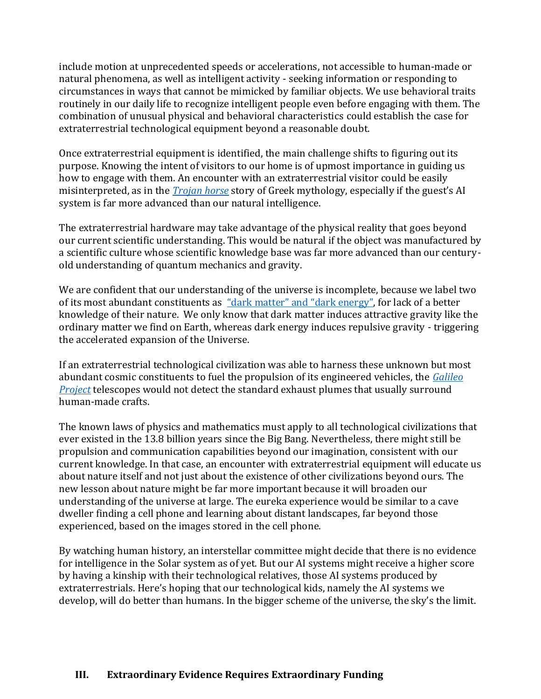include motion at unprecedented speeds or accelerations, not accessible to human-made or natural phenomena, as well as intelligent activity - seeking information or responding to circumstances in ways that cannot be mimicked by familiar objects. We use behavioral traits routinely in our daily life to recognize intelligent people even before engaging with them. The combination of unusual physical and behavioral characteristics could establish the case for extraterrestrial technological equipment beyond a reasonable doubt.

Once extraterrestrial equipment is identified, the main challenge shifts to figuring out its purpose. Knowing the intent of visitors to our home is of upmost importance in guiding us how to engage with them. An encounter with an extraterrestrial visitor could be easily misinterpreted, as in the *[Trojan horse](https://www.britannica.com/topic/Trojan-horse)* story of Greek mythology, especially if the guest's AI system is far more advanced than our natural intelligence.

The extraterrestrial hardware may take advantage of the physical reality that goes beyond our current scientific understanding. This would be natural if the object was manufactured by a scientific culture whose scientific knowledge base was far more advanced than our centuryold understanding of quantum mechanics and gravity.

We are confident that our understanding of the universe is incomplete, because we label two of its most abundant constituents as ["dark matter" and "dark energy"](https://science.nasa.gov/astrophysics/focus-areas/what-is-dark-energy), for lack of a better knowledge of their nature. We only know that dark matter induces attractive gravity like the ordinary matter we find on Earth, whereas dark energy induces repulsive gravity - triggering the accelerated expansion of the Universe.

If an extraterrestrial technological civilization was able to harness these unknown but most abundant cosmic constituents to fuel the propulsion of its engineered vehicles, the *[Galileo](https://projects.iq.harvard.edu/galileo/)  [Project](https://projects.iq.harvard.edu/galileo/)* telescopes would not detect the standard exhaust plumes that usually surround human-made crafts.

The known laws of physics and mathematics must apply to all technological civilizations that ever existed in the 13.8 billion years since the Big Bang. Nevertheless, there might still be propulsion and communication capabilities beyond our imagination, consistent with our current knowledge. In that case, an encounter with extraterrestrial equipment will educate us about nature itself and not just about the existence of other civilizations beyond ours. The new lesson about nature might be far more important because it will broaden our understanding of the universe at large. The eureka experience would be similar to a cave dweller finding a cell phone and learning about distant landscapes, far beyond those experienced, based on the images stored in the cell phone.

By watching human history, an interstellar committee might decide that there is no evidence for intelligence in the Solar system as of yet. But our AI systems might receive a higher score by having a kinship with their technological relatives, those AI systems produced by extraterrestrials. Here's hoping that our technological kids, namely the AI systems we develop, will do better than humans. In the bigger scheme of the universe, the sky's the limit.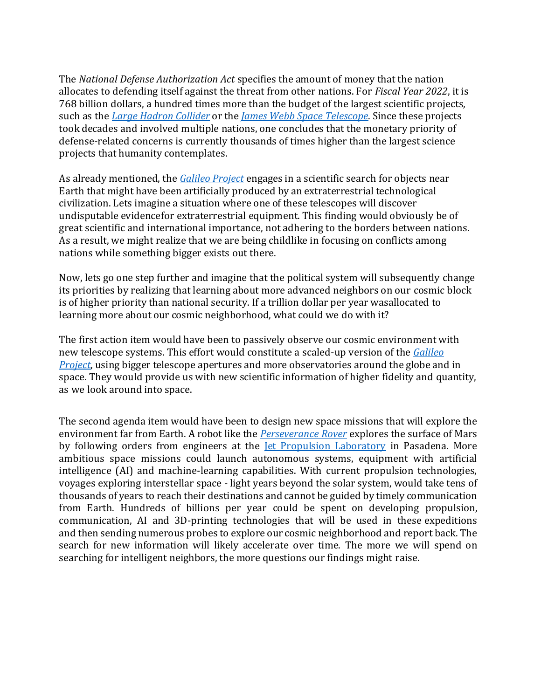The *National Defense Authorization Act* specifies the amount of money that the nation allocates to defending itself against the threat from other nations. For *Fiscal Year 2022*, it is 768 billion dollars, a hundred times more than the budget of the largest scientific projects, such as the *Large Hadron [Collider](https://home.cern/science/accelerators/large-hadron-collider)* or the *James Webb Space [Telescope](https://www.jwst.nasa.gov/)*. Since these projects took decades and involved multiple nations, one concludes that the monetary priority of defense-related concerns is currently thousands of times higher than the largest science projects that humanity contemplates.

As already mentioned, the *[Galileo Project](https://projects.iq.harvard.edu/galileo)* engages in a scientific search for objects near Earth that might have been artificially produced by an extraterrestrial technological civilization. Lets imagine a situation where one of these telescopes will discover undisputable evidencefor extraterrestrial equipment. This finding would obviously be of great scientific and international importance, not adhering to the borders between nations. As a result, we might realize that we are being childlike in focusing on conflicts among nations while something bigger exists out there.

Now, lets go one step further and imagine that the political system will subsequently change its priorities by realizing that learning about more advanced neighbors on our cosmic block is of higher priority than national security. If a trillion dollar per year wasallocated to learning more about our cosmic neighborhood, what could we do with it?

The first action item would have been to passively observe our cosmic environment with new telescope systems. This effort would constitute a scaled-up version of the *[Galileo](https://projects.iq.harvard.edu/galileo) [Project](https://projects.iq.harvard.edu/galileo)*, using bigger telescope apertures and more observatories around the globe and in space. They would provide us with new scientific information of higher fidelity and quantity, as we look around into space.

The second agenda item would have been to design new space missions that will explore the environment far from Earth. A robot like the *[Perseverance](https://mars.nasa.gov/mars2020/) Rover* explores the surface of Mars by following orders from engineers at the *[Jet Propulsion Laboratory](https://www.jpl.nasa.gov/news/biggest-moments-on-mars-nasas-perseverance-rover-2021-year-in-review)* in Pasadena. More ambitious space missions could launch autonomous systems, equipment with artificial intelligence (AI) and machine-learning capabilities. With current propulsion technologies, voyages exploring interstellar space - light years beyond the solar system, would take tens of thousands of years to reach their destinations and cannot be guided by timely communication from Earth. Hundreds of billions per year could be spent on developing propulsion, communication, AI and 3D-printing technologies that will be used in these expeditions and then sending numerous probes to explore our cosmic neighborhood and report back. The search for new information will likely accelerate over time. The more we will spend on searching for intelligent neighbors, the more questions our findings might raise.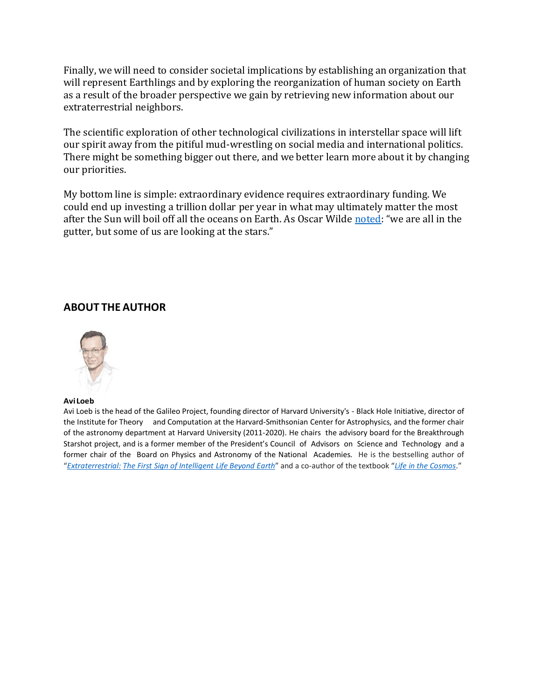Finally, we will need to consider societal implications by establishing an organization that will represent Earthlings and by exploring the reorganization of human society on Earth as a result of the broader perspective we gain by retrieving new information about our extraterrestrial neighbors.

The scientific exploration of other technological civilizations in interstellar space will lift our spirit away from the pitiful mud-wrestling on social media and international politics. There might be something bigger out there, and we better learn more about it by changing our priorities.

My bottom line is simple: extraordinary evidence requires extraordinary funding. We could end up investing a trillion dollar per year in what may ultimately matter the most after the Sun will boil off all the oceans on Earth. As Oscar Wilde [noted](https://www.goodreads.com/quotes/25-we-are-all-in-the-gutter-but-some-of-us): "we are all in the gutter, but some of us are looking at the stars."

#### **ABOUT THE AUTHOR**



#### **AviLoeb**

Avi Loeb is the head of the Galileo Project, founding director of Harvard University's - Black Hole Initiative, director of the Institute for Theory and Computation at the Harvard-Smithsonian Center for Astrophysics, and the former chair of the astronomy department at Harvard University (2011-2020). He chairs the advisory board for the Breakthrough Starshot project, and is a former member of the President's Council of Advisors on Science and Technology and a former chair of the Board on Physics and Astronomy of the National Academies. He is the bestselling author of "*[Extraterrestrial:](https://www.hmhbooks.com/shop/books/Extraterrestrial/9780358274551) The First Sign of [Intelligent](https://www.hmhbooks.com/shop/books/Extraterrestrial/9780358274551) Life Beyond Earth*" and a co-author of the textbook "*[Life in the Cosmos](https://www.hup.harvard.edu/catalog.php?isbn=9780674987579)*."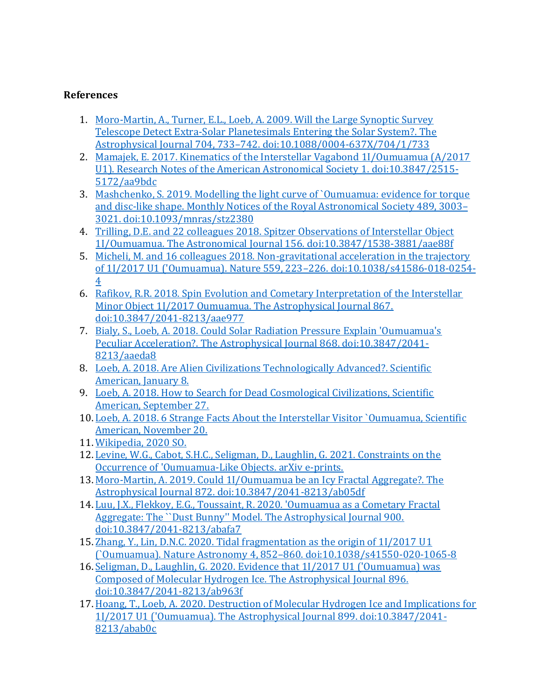#### **References**

- 1. [Moro-Martin, A., Turner, E.L., Loeb, A. 2009. Will the Large Synoptic Survey](https://ui.adsabs.harvard.edu/abs/2009ApJ...704..733M/abstract)  [Telescope Detect Extra-Solar Planetesimals Entering the Solar System?. The](https://ui.adsabs.harvard.edu/abs/2009ApJ...704..733M/abstract)  Astrophysical Journal 704, 733–[742. doi:10.1088/0004-637X/704/1/733](https://ui.adsabs.harvard.edu/abs/2009ApJ...704..733M/abstract)
- 2. [Mamajek, E. 2017. Kinematics of the Interstellar Vagabond 1I/Oumuamua \(A/2017](https://ui.adsabs.harvard.edu/abs/2017RNAAS...1...21M/abstract)  [U1\). Research Notes of the American Astronomical Society 1. doi:10.3847/2515-](https://ui.adsabs.harvard.edu/abs/2017RNAAS...1...21M/abstract) [5172/aa9bdc](https://ui.adsabs.harvard.edu/abs/2017RNAAS...1...21M/abstract)
- 3. [Mashchenko, S. 2019. Modelling the light curve of `Oumuamua: evidence for torque](https://ui.adsabs.harvard.edu/abs/2019MNRAS.489.3003M/abstract)  [and disc-like shape. Monthly Notices of the Royal Astronomical Society 489, 3003](https://ui.adsabs.harvard.edu/abs/2019MNRAS.489.3003M/abstract)– [3021. doi:10.1093/mnras/stz2380](https://ui.adsabs.harvard.edu/abs/2019MNRAS.489.3003M/abstract)
- 4. [Trilling, D.E. and 22 colleagues 2018. Spitzer Observations of Interstellar Object](https://ui.adsabs.harvard.edu/abs/2018AJ....156..261T/abstract)  [1I/Oumuamua. The Astronomical Journal 156. doi:10.3847/1538-3881/aae88f](https://ui.adsabs.harvard.edu/abs/2018AJ....156..261T/abstract)
- 5. [Micheli, M. and 16 colleagues 2018. Non-gravitational acceleration in the trajectory](https://ui.adsabs.harvard.edu/abs/2018Natur.559..223M/abstract)  [of 1I/2017 U1 \('Oumuamua\). Nature 559, 223](https://ui.adsabs.harvard.edu/abs/2018Natur.559..223M/abstract)–226. doi:10.1038/s41586-018-0254- [4](https://ui.adsabs.harvard.edu/abs/2018Natur.559..223M/abstract)
- 6. [Rafikov, R.R. 2018. Spin Evolution and Cometary Interpretation of the Interstellar](https://ui.adsabs.harvard.edu/abs/2018ApJ...867L..17R/abstract)  [Minor Object 1I/2017 Oumuamua. The Astrophysical Journal 867.](https://ui.adsabs.harvard.edu/abs/2018ApJ...867L..17R/abstract)  [doi:10.3847/2041-8213/aae977](https://ui.adsabs.harvard.edu/abs/2018ApJ...867L..17R/abstract)
- 7. [Bialy, S., Loeb, A. 2018. Could Solar Radiation Pressure Explain 'Oumuamua's](https://ui.adsabs.harvard.edu/abs/2018ApJ...868L...1B/abstract)  [Peculiar Acceleration?. The Astrophysical Journal 868. doi:10.3847/2041-](https://ui.adsabs.harvard.edu/abs/2018ApJ...868L...1B/abstract) [8213/aaeda8](https://ui.adsabs.harvard.edu/abs/2018ApJ...868L...1B/abstract)
- 8. [Loeb, A. 2018. Are Alien Civilizations Technologically Advanced?. Scientific](https://blogs.scientificamerican.com/observations/are-alien-civilizations-technologically-advanced/)  [American, January 8.](https://blogs.scientificamerican.com/observations/are-alien-civilizations-technologically-advanced/)
- 9. [Loeb, A. 2018. How to Search for Dead Cosmological Civilizations, Scientific](https://blogs.scientificamerican.com/observations/how-to-search-for-dead-cosmic-civilizations/)  [American, September 27.](https://blogs.scientificamerican.com/observations/how-to-search-for-dead-cosmic-civilizations/)
- 10. [Loeb, A. 2018. 6 Strange Facts About the Interstellar Visitor `Oumuamua, Scientific](https://blogs.scientificamerican.com/observations/6-strange-facts-about-the-interstellar-visitor-oumuamua/)  [American, November 20.](https://blogs.scientificamerican.com/observations/6-strange-facts-about-the-interstellar-visitor-oumuamua/)
- 11. [Wikipedia, 2020 SO.](https://en.wikipedia.org/wiki/2020_SO)
- 12. [Levine, W.G., Cabot, S.H.C., Seligman, D., Laughlin, G. 2021. Constraints on the](https://arxiv.org/pdf/2108.11194.pdf)  [Occurrence of 'Oumuamua-Like Objects. arXiv e-prints.](https://arxiv.org/pdf/2108.11194.pdf)
- 13. [Moro-Martin, A. 2019. Could 1I/Oumuamua be an Icy Fractal Aggregate?. The](https://ui.adsabs.harvard.edu/abs/2019ApJ...872L..32M/abstract)  [Astrophysical Journal 872. doi:10.3847/2041-8213/ab05df](https://ui.adsabs.harvard.edu/abs/2019ApJ...872L..32M/abstract)
- 14. [Luu, J.X., Flekkoy, E.G., Toussaint, R. 2020. 'Oumuamua as a Cometary Fractal](https://ui.adsabs.harvard.edu/abs/2020ApJ...900L..22L/abstract)  Aggregate: The "Dust Bunny" Model. The Astrophysical Journal 900. [doi:10.3847/2041-8213/abafa7](https://ui.adsabs.harvard.edu/abs/2020ApJ...900L..22L/abstract)
- 15. [Zhang, Y., Lin, D.N.C. 2020. Tidal fragmentation as the origin of 1I/2017 U1](https://ui.adsabs.harvard.edu/abs/2020NatAs...4..852Z/abstract)  [\(`Oumuamua\). Nature Astronomy 4, 852](https://ui.adsabs.harvard.edu/abs/2020NatAs...4..852Z/abstract)–860. doi:10.1038/s41550-020-1065-8
- 16[.Seligman, D., Laughlin, G. 2020. Evidence that 1I/2017 U1 \('Oumuamua\) was](https://ui.adsabs.harvard.edu/abs/2020ApJ...896L...8S/abstract)  [Composed of Molecular Hydrogen Ice. The Astrophysical Journal 896.](https://ui.adsabs.harvard.edu/abs/2020ApJ...896L...8S/abstract)  [doi:10.3847/2041-8213/ab963f](https://ui.adsabs.harvard.edu/abs/2020ApJ...896L...8S/abstract)
- 17[.Hoang, T., Loeb, A. 2020. Destruction of Molecular Hydrogen Ice and Implications for](https://ui.adsabs.harvard.edu/abs/2020ApJ...899L..23H/abstract)  1I/2017 U1 ('Oumuamua). [The Astrophysical Journal 899. doi:10.3847/2041-](https://ui.adsabs.harvard.edu/abs/2020ApJ...899L..23H/abstract) [8213/abab0c](https://ui.adsabs.harvard.edu/abs/2020ApJ...899L..23H/abstract)